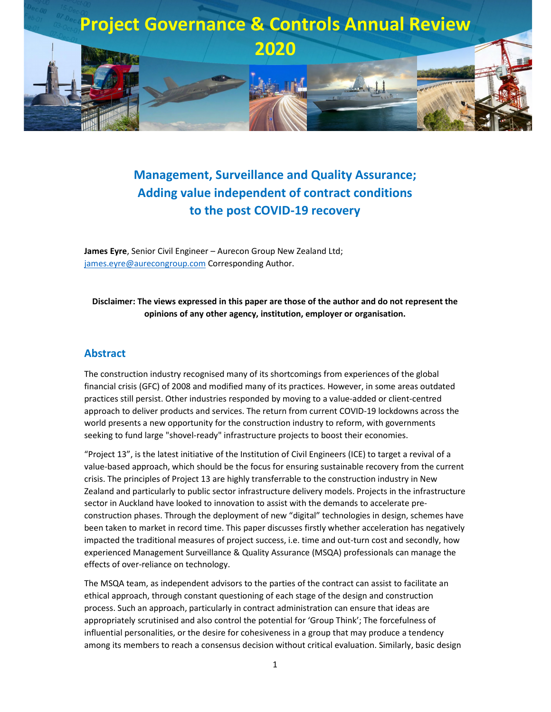

# **Management, Surveillance and Quality Assurance; Adding value independent of contract conditions to the post COVID-19 recovery**

**James Eyre**, Senior Civil Engineer – Aurecon Group New Zealand Ltd; james.eyre@aurecongroup.com Corresponding Author.

### **Disclaimer: The views expressed in this paper are those of the author and do not represent the opinions of any other agency, institution, employer or organisation.**

### **Abstract**

The construction industry recognised many of its shortcomings from experiences of the global financial crisis (GFC) of 2008 and modified many of its practices. However, in some areas outdated practices still persist. Other industries responded by moving to a value-added or client-centred approach to deliver products and services. The return from current COVID-19 lockdowns across the world presents a new opportunity for the construction industry to reform, with governments seeking to fund large "shovel-ready" infrastructure projects to boost their economies.

"Project 13", is the latest initiative of the Institution of Civil Engineers (ICE) to target a revival of a value-based approach, which should be the focus for ensuring sustainable recovery from the current crisis. The principles of Project 13 are highly transferrable to the construction industry in New Zealand and particularly to public sector infrastructure delivery models. Projects in the infrastructure sector in Auckland have looked to innovation to assist with the demands to accelerate preconstruction phases. Through the deployment of new "digital" technologies in design, schemes have been taken to market in record time. This paper discusses firstly whether acceleration has negatively impacted the traditional measures of project success, i.e. time and out-turn cost and secondly, how experienced Management Surveillance & Quality Assurance (MSQA) professionals can manage the effects of over-reliance on technology.

The MSQA team, as independent advisors to the parties of the contract can assist to facilitate an ethical approach, through constant questioning of each stage of the design and construction process. Such an approach, particularly in contract administration can ensure that ideas are appropriately scrutinised and also control the potential for 'Group Think'; The forcefulness of influential personalities, or the desire for cohesiveness in a group that may produce a tendency among its members to reach a consensus decision without critical evaluation. Similarly, basic design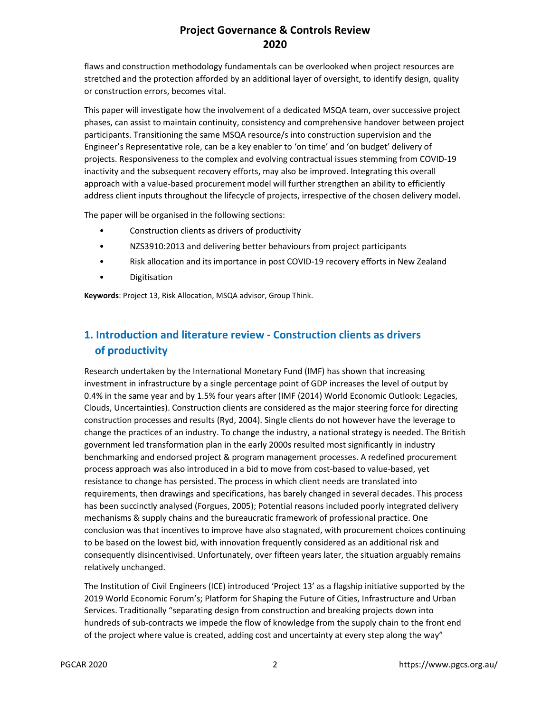flaws and construction methodology fundamentals can be overlooked when project resources are stretched and the protection afforded by an additional layer of oversight, to identify design, quality or construction errors, becomes vital.

This paper will investigate how the involvement of a dedicated MSQA team, over successive project phases, can assist to maintain continuity, consistency and comprehensive handover between project participants. Transitioning the same MSQA resource/s into construction supervision and the Engineer's Representative role, can be a key enabler to 'on time' and 'on budget' delivery of projects. Responsiveness to the complex and evolving contractual issues stemming from COVID-19 inactivity and the subsequent recovery efforts, may also be improved. Integrating this overall approach with a value-based procurement model will further strengthen an ability to efficiently address client inputs throughout the lifecycle of projects, irrespective of the chosen delivery model.

The paper will be organised in the following sections:

- Construction clients as drivers of productivity
- NZS3910:2013 and delivering better behaviours from project participants
- Risk allocation and its importance in post COVID-19 recovery efforts in New Zealand
- **Digitisation**

**Keywords**: Project 13, Risk Allocation, MSQA advisor, Group Think.

# **1. Introduction and literature review - Construction clients as drivers of productivity**

Research undertaken by the International Monetary Fund (IMF) has shown that increasing investment in infrastructure by a single percentage point of GDP increases the level of output by 0.4% in the same year and by 1.5% four years after (IMF (2014) World Economic Outlook: Legacies, Clouds, Uncertainties). Construction clients are considered as the major steering force for directing construction processes and results (Ryd, 2004). Single clients do not however have the leverage to change the practices of an industry. To change the industry, a national strategy is needed. The British government led transformation plan in the early 2000s resulted most significantly in industry benchmarking and endorsed project & program management processes. A redefined procurement process approach was also introduced in a bid to move from cost-based to value-based, yet resistance to change has persisted. The process in which client needs are translated into requirements, then drawings and specifications, has barely changed in several decades. This process has been succinctly analysed (Forgues, 2005); Potential reasons included poorly integrated delivery mechanisms & supply chains and the bureaucratic framework of professional practice. One conclusion was that incentives to improve have also stagnated, with procurement choices continuing to be based on the lowest bid, with innovation frequently considered as an additional risk and consequently disincentivised. Unfortunately, over fifteen years later, the situation arguably remains relatively unchanged.

The Institution of Civil Engineers (ICE) introduced 'Project 13' as a flagship initiative supported by the 2019 World Economic Forum's; Platform for Shaping the Future of Cities, Infrastructure and Urban Services. Traditionally "separating design from construction and breaking projects down into hundreds of sub-contracts we impede the flow of knowledge from the supply chain to the front end of the project where value is created, adding cost and uncertainty at every step along the way"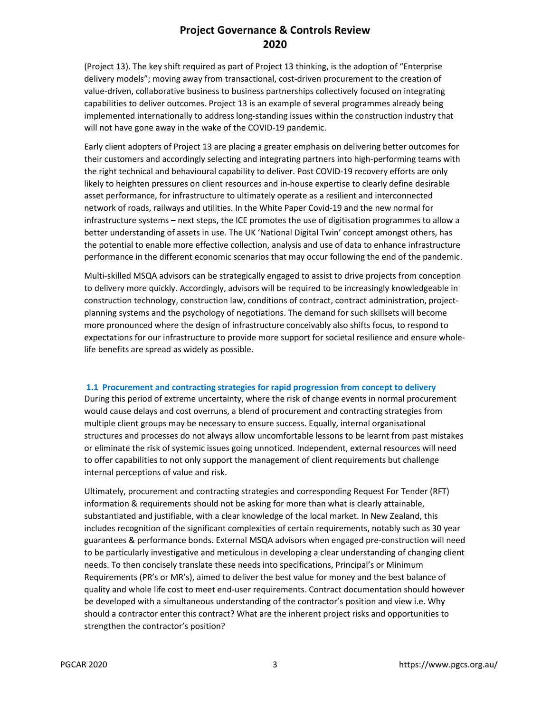(Project 13). The key shift required as part of Project 13 thinking, is the adoption of "Enterprise delivery models"; moving away from transactional, cost-driven procurement to the creation of value-driven, collaborative business to business partnerships collectively focused on integrating capabilities to deliver outcomes. Project 13 is an example of several programmes already being implemented internationally to address long-standing issues within the construction industry that will not have gone away in the wake of the COVID-19 pandemic.

Early client adopters of Project 13 are placing a greater emphasis on delivering better outcomes for their customers and accordingly selecting and integrating partners into high-performing teams with the right technical and behavioural capability to deliver. Post COVID-19 recovery efforts are only likely to heighten pressures on client resources and in-house expertise to clearly define desirable asset performance, for infrastructure to ultimately operate as a resilient and interconnected network of roads, railways and utilities. In the White Paper Covid-19 and the new normal for infrastructure systems – next steps, the ICE promotes the use of digitisation programmes to allow a better understanding of assets in use. The UK 'National Digital Twin' concept amongst others, has the potential to enable more effective collection, analysis and use of data to enhance infrastructure performance in the different economic scenarios that may occur following the end of the pandemic.

Multi-skilled MSQA advisors can be strategically engaged to assist to drive projects from conception to delivery more quickly. Accordingly, advisors will be required to be increasingly knowledgeable in construction technology, construction law, conditions of contract, contract administration, projectplanning systems and the psychology of negotiations. The demand for such skillsets will become more pronounced where the design of infrastructure conceivably also shifts focus, to respond to expectations for our infrastructure to provide more support for societal resilience and ensure wholelife benefits are spread as widely as possible.

#### **1.1 Procurement and contracting strategies for rapid progression from concept to delivery**

During this period of extreme uncertainty, where the risk of change events in normal procurement would cause delays and cost overruns, a blend of procurement and contracting strategies from multiple client groups may be necessary to ensure success. Equally, internal organisational structures and processes do not always allow uncomfortable lessons to be learnt from past mistakes or eliminate the risk of systemic issues going unnoticed. Independent, external resources will need to offer capabilities to not only support the management of client requirements but challenge internal perceptions of value and risk.

Ultimately, procurement and contracting strategies and corresponding Request For Tender (RFT) information & requirements should not be asking for more than what is clearly attainable, substantiated and justifiable, with a clear knowledge of the local market. In New Zealand, this includes recognition of the significant complexities of certain requirements, notably such as 30 year guarantees & performance bonds. External MSQA advisors when engaged pre-construction will need to be particularly investigative and meticulous in developing a clear understanding of changing client needs. To then concisely translate these needs into specifications, Principal's or Minimum Requirements (PR's or MR's), aimed to deliver the best value for money and the best balance of quality and whole life cost to meet end-user requirements. Contract documentation should however be developed with a simultaneous understanding of the contractor's position and view i.e. Why should a contractor enter this contract? What are the inherent project risks and opportunities to strengthen the contractor's position?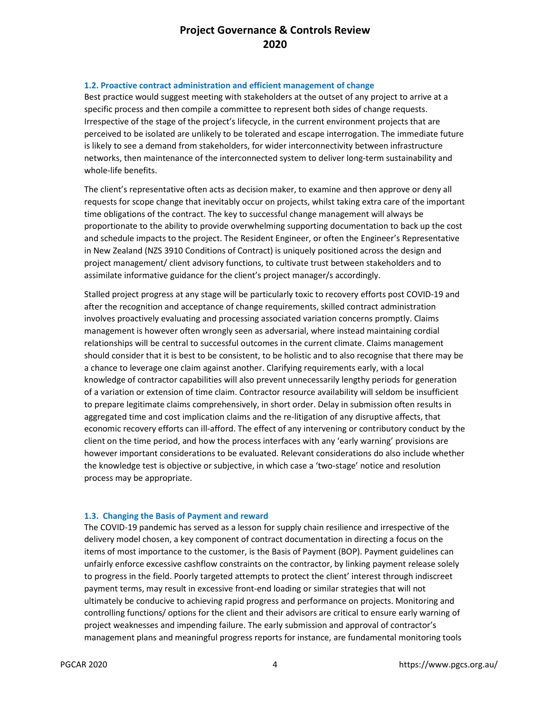#### **1.2. Proactive contract administration and efficient management of change**

Best practice would suggest meeting with stakeholders at the outset of any project to arrive at a specific process and then compile a committee to represent both sides of change requests. Irrespective of the stage of the project's lifecycle, in the current environment projects that are perceived to be isolated are unlikely to be tolerated and escape interrogation. The immediate future is likely to see a demand from stakeholders, for wider interconnectivity between infrastructure networks, then maintenance of the interconnected system to deliver long-term sustainability and whole-life benefits.

The client's representative often acts as decision maker, to examine and then approve or deny all requests for scope change that inevitably occur on projects, whilst taking extra care of the important time obligations of the contract. The key to successful change management will always be proportionate to the ability to provide overwhelming supporting documentation to back up the cost and schedule impacts to the project. The Resident Engineer, or often the Engineer's Representative in New Zealand (NZS 3910 Conditions of Contract) is uniquely positioned across the design and project management/ client advisory functions, to cultivate trust between stakeholders and to assimilate informative guidance for the client's project manager/s accordingly.

Stalled project progress at any stage will be particularly toxic to recovery efforts post COVID-19 and after the recognition and acceptance of change requirements, skilled contract administration involves proactively evaluating and processing associated variation concerns promptly. Claims management is however often wrongly seen as adversarial, where instead maintaining cordial relationships will be central to successful outcomes in the current climate. Claims management should consider that it is best to be consistent, to be holistic and to also recognise that there may be a chance to leverage one claim against another. Clarifying requirements early, with a local knowledge of contractor capabilities will also prevent unnecessarily lengthy periods for generation of a variation or extension of time claim. Contractor resource availability will seldom be insufficient to prepare legitimate claims comprehensively, in short order. Delay in submission often results in aggregated time and cost implication claims and the re-litigation of any disruptive affects, that economic recovery efforts can ill-afford. The effect of any intervening or contributory conduct by the client on the time period, and how the process interfaces with any 'early warning' provisions are however important considerations to be evaluated. Relevant considerations do also include whether the knowledge test is objective or subjective, in which case a 'two-stage' notice and resolution process may be appropriate.

#### **1.3. Changing the Basis of Payment and reward**

The COVID-19 pandemic has served as a lesson for supply chain resilience and irrespective of the delivery model chosen, a key component of contract documentation in directing a focus on the items of most importance to the customer, is the Basis of Payment (BOP). Payment guidelines can unfairly enforce excessive cashflow constraints on the contractor, by linking payment release solely to progress in the field. Poorly targeted attempts to protect the client' interest through indiscreet payment terms, may result in excessive front-end loading or similar strategies that will not ultimately be conducive to achieving rapid progress and performance on projects. Monitoring and controlling functions/ options for the client and their advisors are critical to ensure early warning of project weaknesses and impending failure. The early submission and approval of contractor's management plans and meaningful progress reports for instance, are fundamental monitoring tools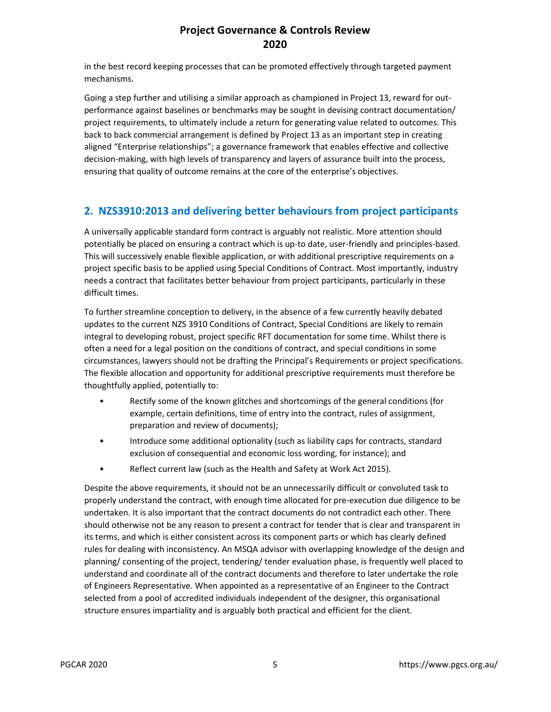in the best record keeping processes that can be promoted effectively through targeted payment mechanisms.

Going a step further and utilising a similar approach as championed in Project 13, reward for outperformance against baselines or benchmarks may be sought in devising contract documentation/ project requirements, to ultimately include a return for generating value related to outcomes. This back to back commercial arrangement is defined by Project 13 as an important step in creating aligned "Enterprise relationships"; a governance framework that enables effective and collective decision-making, with high levels of transparency and layers of assurance built into the process, ensuring that quality of outcome remains at the core of the enterprise's objectives.

### **2. NZS3910:2013 and delivering better behaviours from project participants**

A universally applicable standard form contract is arguably not realistic. More attention should potentially be placed on ensuring a contract which is up-to date, user-friendly and principles-based. This will successively enable flexible application, or with additional prescriptive requirements on a project specific basis to be applied using Special Conditions of Contract. Most importantly, industry needs a contract that facilitates better behaviour from project participants, particularly in these difficult times.

To further streamline conception to delivery, in the absence of a few currently heavily debated updates to the current NZS 3910 Conditions of Contract, Special Conditions are likely to remain integral to developing robust, project specific RFT documentation for some time. Whilst there is often a need for a legal position on the conditions of contract, and special conditions in some circumstances, lawyers should not be drafting the Principal's Requirements or project specifications. The flexible allocation and opportunity for additional prescriptive requirements must therefore be thoughtfully applied, potentially to:

- Rectify some of the known glitches and shortcomings of the general conditions (for example, certain definitions, time of entry into the contract, rules of assignment, preparation and review of documents);
- Introduce some additional optionality (such as liability caps for contracts, standard exclusion of consequential and economic loss wording, for instance); and
- Reflect current law (such as the Health and Safety at Work Act 2015).

Despite the above requirements, it should not be an unnecessarily difficult or convoluted task to properly understand the contract, with enough time allocated for pre-execution due diligence to be undertaken. It is also important that the contract documents do not contradict each other. There should otherwise not be any reason to present a contract for tender that is clear and transparent in its terms, and which is either consistent across its component parts or which has clearly defined rules for dealing with inconsistency. An MSQA advisor with overlapping knowledge of the design and planning/ consenting of the project, tendering/ tender evaluation phase, is frequently well placed to understand and coordinate all of the contract documents and therefore to later undertake the role of Engineers Representative. When appointed as a representative of an Engineer to the Contract selected from a pool of accredited individuals independent of the designer, this organisational structure ensures impartiality and is arguably both practical and efficient for the client.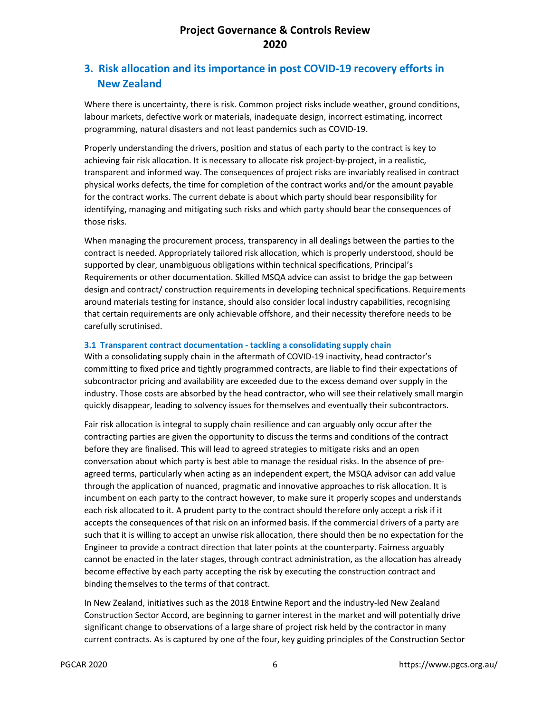# **3. Risk allocation and its importance in post COVID-19 recovery efforts in New Zealand**

Where there is uncertainty, there is risk. Common project risks include weather, ground conditions, labour markets, defective work or materials, inadequate design, incorrect estimating, incorrect programming, natural disasters and not least pandemics such as COVID-19.

Properly understanding the drivers, position and status of each party to the contract is key to achieving fair risk allocation. It is necessary to allocate risk project-by-project, in a realistic, transparent and informed way. The consequences of project risks are invariably realised in contract physical works defects, the time for completion of the contract works and/or the amount payable for the contract works. The current debate is about which party should bear responsibility for identifying, managing and mitigating such risks and which party should bear the consequences of those risks.

When managing the procurement process, transparency in all dealings between the parties to the contract is needed. Appropriately tailored risk allocation, which is properly understood, should be supported by clear, unambiguous obligations within technical specifications, Principal's Requirements or other documentation. Skilled MSQA advice can assist to bridge the gap between design and contract/ construction requirements in developing technical specifications. Requirements around materials testing for instance, should also consider local industry capabilities, recognising that certain requirements are only achievable offshore, and their necessity therefore needs to be carefully scrutinised.

#### **3.1 Transparent contract documentation - tackling a consolidating supply chain**

With a consolidating supply chain in the aftermath of COVID-19 inactivity, head contractor's committing to fixed price and tightly programmed contracts, are liable to find their expectations of subcontractor pricing and availability are exceeded due to the excess demand over supply in the industry. Those costs are absorbed by the head contractor, who will see their relatively small margin quickly disappear, leading to solvency issues for themselves and eventually their subcontractors.

Fair risk allocation is integral to supply chain resilience and can arguably only occur after the contracting parties are given the opportunity to discuss the terms and conditions of the contract before they are finalised. This will lead to agreed strategies to mitigate risks and an open conversation about which party is best able to manage the residual risks. In the absence of preagreed terms, particularly when acting as an independent expert, the MSQA advisor can add value through the application of nuanced, pragmatic and innovative approaches to risk allocation. It is incumbent on each party to the contract however, to make sure it properly scopes and understands each risk allocated to it. A prudent party to the contract should therefore only accept a risk if it accepts the consequences of that risk on an informed basis. If the commercial drivers of a party are such that it is willing to accept an unwise risk allocation, there should then be no expectation for the Engineer to provide a contract direction that later points at the counterparty. Fairness arguably cannot be enacted in the later stages, through contract administration, as the allocation has already become effective by each party accepting the risk by executing the construction contract and binding themselves to the terms of that contract.

In New Zealand, initiatives such as the 2018 Entwine Report and the industry-led New Zealand Construction Sector Accord, are beginning to garner interest in the market and will potentially drive significant change to observations of a large share of project risk held by the contractor in many current contracts. As is captured by one of the four, key guiding principles of the Construction Sector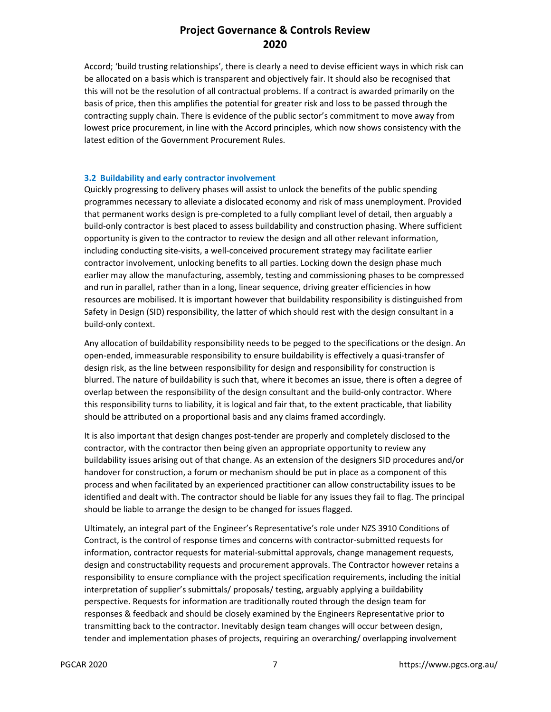Accord; 'build trusting relationships', there is clearly a need to devise efficient ways in which risk can be allocated on a basis which is transparent and objectively fair. It should also be recognised that this will not be the resolution of all contractual problems. If a contract is awarded primarily on the basis of price, then this amplifies the potential for greater risk and loss to be passed through the contracting supply chain. There is evidence of the public sector's commitment to move away from lowest price procurement, in line with the Accord principles, which now shows consistency with the latest edition of the Government Procurement Rules.

#### **3.2 Buildability and early contractor involvement**

Quickly progressing to delivery phases will assist to unlock the benefits of the public spending programmes necessary to alleviate a dislocated economy and risk of mass unemployment. Provided that permanent works design is pre-completed to a fully compliant level of detail, then arguably a build-only contractor is best placed to assess buildability and construction phasing. Where sufficient opportunity is given to the contractor to review the design and all other relevant information, including conducting site-visits, a well-conceived procurement strategy may facilitate earlier contractor involvement, unlocking benefits to all parties. Locking down the design phase much earlier may allow the manufacturing, assembly, testing and commissioning phases to be compressed and run in parallel, rather than in a long, linear sequence, driving greater efficiencies in how resources are mobilised. It is important however that buildability responsibility is distinguished from Safety in Design (SID) responsibility, the latter of which should rest with the design consultant in a build-only context.

Any allocation of buildability responsibility needs to be pegged to the specifications or the design. An open-ended, immeasurable responsibility to ensure buildability is effectively a quasi-transfer of design risk, as the line between responsibility for design and responsibility for construction is blurred. The nature of buildability is such that, where it becomes an issue, there is often a degree of overlap between the responsibility of the design consultant and the build-only contractor. Where this responsibility turns to liability, it is logical and fair that, to the extent practicable, that liability should be attributed on a proportional basis and any claims framed accordingly.

It is also important that design changes post-tender are properly and completely disclosed to the contractor, with the contractor then being given an appropriate opportunity to review any buildability issues arising out of that change. As an extension of the designers SID procedures and/or handover for construction, a forum or mechanism should be put in place as a component of this process and when facilitated by an experienced practitioner can allow constructability issues to be identified and dealt with. The contractor should be liable for any issues they fail to flag. The principal should be liable to arrange the design to be changed for issues flagged.

Ultimately, an integral part of the Engineer's Representative's role under NZS 3910 Conditions of Contract, is the control of response times and concerns with contractor-submitted requests for information, contractor requests for material-submittal approvals, change management requests, design and constructability requests and procurement approvals. The Contractor however retains a responsibility to ensure compliance with the project specification requirements, including the initial interpretation of supplier's submittals/ proposals/ testing, arguably applying a buildability perspective. Requests for information are traditionally routed through the design team for responses & feedback and should be closely examined by the Engineers Representative prior to transmitting back to the contractor. Inevitably design team changes will occur between design, tender and implementation phases of projects, requiring an overarching/ overlapping involvement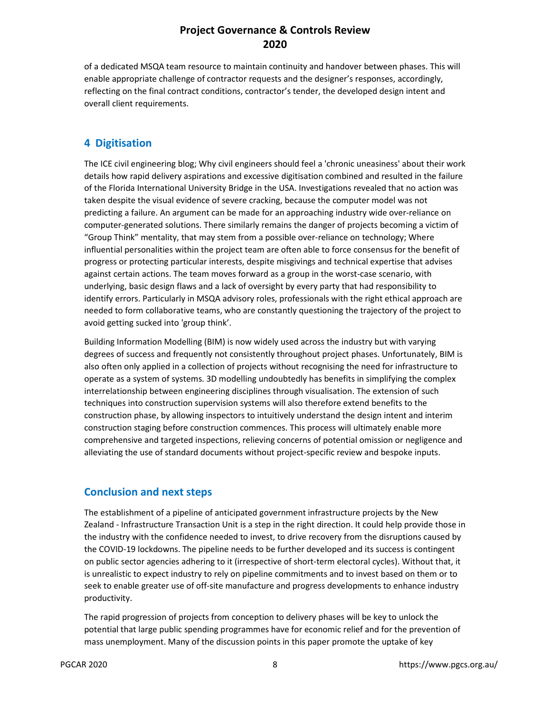of a dedicated MSQA team resource to maintain continuity and handover between phases. This will enable appropriate challenge of contractor requests and the designer's responses, accordingly, reflecting on the final contract conditions, contractor's tender, the developed design intent and overall client requirements.

### **4 Digitisation**

The ICE civil engineering blog; Why civil engineers should feel a 'chronic uneasiness' about their work details how rapid delivery aspirations and excessive digitisation combined and resulted in the failure of the Florida International University Bridge in the USA. Investigations revealed that no action was taken despite the visual evidence of severe cracking, because the computer model was not predicting a failure. An argument can be made for an approaching industry wide over-reliance on computer-generated solutions. There similarly remains the danger of projects becoming a victim of "Group Think" mentality, that may stem from a possible over-reliance on technology; Where influential personalities within the project team are often able to force consensus for the benefit of progress or protecting particular interests, despite misgivings and technical expertise that advises against certain actions. The team moves forward as a group in the worst-case scenario, with underlying, basic design flaws and a lack of oversight by every party that had responsibility to identify errors. Particularly in MSQA advisory roles, professionals with the right ethical approach are needed to form collaborative teams, who are constantly questioning the trajectory of the project to avoid getting sucked into 'group think'.

Building Information Modelling (BIM) is now widely used across the industry but with varying degrees of success and frequently not consistently throughout project phases. Unfortunately, BIM is also often only applied in a collection of projects without recognising the need for infrastructure to operate as a system of systems. 3D modelling undoubtedly has benefits in simplifying the complex interrelationship between engineering disciplines through visualisation. The extension of such techniques into construction supervision systems will also therefore extend benefits to the construction phase, by allowing inspectors to intuitively understand the design intent and interim construction staging before construction commences. This process will ultimately enable more comprehensive and targeted inspections, relieving concerns of potential omission or negligence and alleviating the use of standard documents without project-specific review and bespoke inputs.

### **Conclusion and next steps**

The establishment of a pipeline of anticipated government infrastructure projects by the New Zealand - Infrastructure Transaction Unit is a step in the right direction. It could help provide those in the industry with the confidence needed to invest, to drive recovery from the disruptions caused by the COVID-19 lockdowns. The pipeline needs to be further developed and its success is contingent on public sector agencies adhering to it (irrespective of short-term electoral cycles). Without that, it is unrealistic to expect industry to rely on pipeline commitments and to invest based on them or to seek to enable greater use of off-site manufacture and progress developments to enhance industry productivity.

The rapid progression of projects from conception to delivery phases will be key to unlock the potential that large public spending programmes have for economic relief and for the prevention of mass unemployment. Many of the discussion points in this paper promote the uptake of key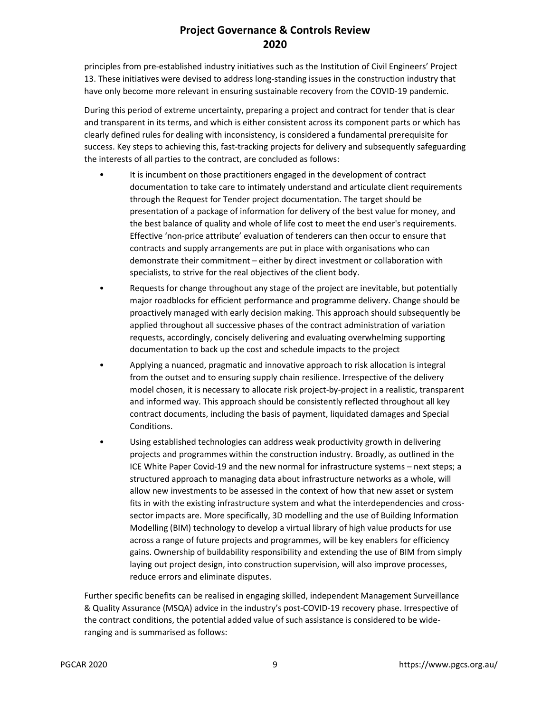principles from pre-established industry initiatives such as the Institution of Civil Engineers' Project 13. These initiatives were devised to address long-standing issues in the construction industry that have only become more relevant in ensuring sustainable recovery from the COVID-19 pandemic.

During this period of extreme uncertainty, preparing a project and contract for tender that is clear and transparent in its terms, and which is either consistent across its component parts or which has clearly defined rules for dealing with inconsistency, is considered a fundamental prerequisite for success. Key steps to achieving this, fast-tracking projects for delivery and subsequently safeguarding the interests of all parties to the contract, are concluded as follows:

- It is incumbent on those practitioners engaged in the development of contract documentation to take care to intimately understand and articulate client requirements through the Request for Tender project documentation. The target should be presentation of a package of information for delivery of the best value for money, and the best balance of quality and whole of life cost to meet the end user's requirements. Effective 'non-price attribute' evaluation of tenderers can then occur to ensure that contracts and supply arrangements are put in place with organisations who can demonstrate their commitment – either by direct investment or collaboration with specialists, to strive for the real objectives of the client body.
- Requests for change throughout any stage of the project are inevitable, but potentially major roadblocks for efficient performance and programme delivery. Change should be proactively managed with early decision making. This approach should subsequently be applied throughout all successive phases of the contract administration of variation requests, accordingly, concisely delivering and evaluating overwhelming supporting documentation to back up the cost and schedule impacts to the project
- Applying a nuanced, pragmatic and innovative approach to risk allocation is integral from the outset and to ensuring supply chain resilience. Irrespective of the delivery model chosen, it is necessary to allocate risk project-by-project in a realistic, transparent and informed way. This approach should be consistently reflected throughout all key contract documents, including the basis of payment, liquidated damages and Special Conditions.
- Using established technologies can address weak productivity growth in delivering projects and programmes within the construction industry. Broadly, as outlined in the ICE White Paper Covid-19 and the new normal for infrastructure systems – next steps; a structured approach to managing data about infrastructure networks as a whole, will allow new investments to be assessed in the context of how that new asset or system fits in with the existing infrastructure system and what the interdependencies and crosssector impacts are. More specifically, 3D modelling and the use of Building Information Modelling (BIM) technology to develop a virtual library of high value products for use across a range of future projects and programmes, will be key enablers for efficiency gains. Ownership of buildability responsibility and extending the use of BIM from simply laying out project design, into construction supervision, will also improve processes, reduce errors and eliminate disputes.

Further specific benefits can be realised in engaging skilled, independent Management Surveillance & Quality Assurance (MSQA) advice in the industry's post-COVID-19 recovery phase. Irrespective of the contract conditions, the potential added value of such assistance is considered to be wideranging and is summarised as follows: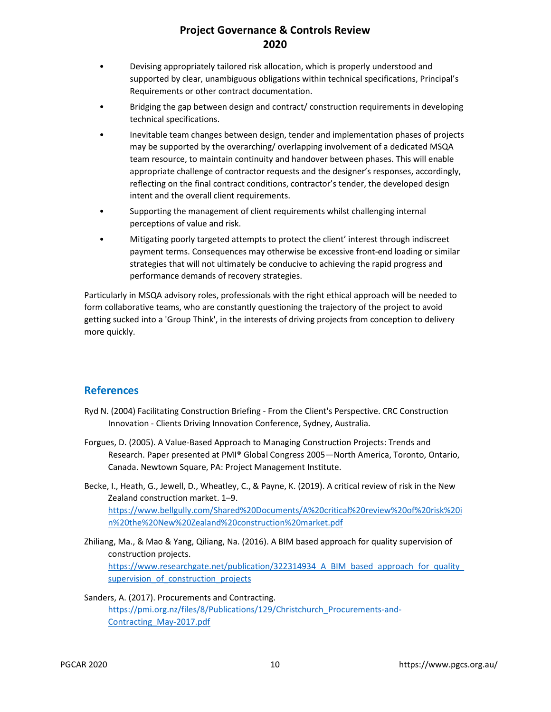- Devising appropriately tailored risk allocation, which is properly understood and supported by clear, unambiguous obligations within technical specifications, Principal's Requirements or other contract documentation.
- Bridging the gap between design and contract/ construction requirements in developing technical specifications.
- Inevitable team changes between design, tender and implementation phases of projects may be supported by the overarching/ overlapping involvement of a dedicated MSQA team resource, to maintain continuity and handover between phases. This will enable appropriate challenge of contractor requests and the designer's responses, accordingly, reflecting on the final contract conditions, contractor's tender, the developed design intent and the overall client requirements.
- Supporting the management of client requirements whilst challenging internal perceptions of value and risk.
- Mitigating poorly targeted attempts to protect the client' interest through indiscreet payment terms. Consequences may otherwise be excessive front-end loading or similar strategies that will not ultimately be conducive to achieving the rapid progress and performance demands of recovery strategies.

Particularly in MSQA advisory roles, professionals with the right ethical approach will be needed to form collaborative teams, who are constantly questioning the trajectory of the project to avoid getting sucked into a 'Group Think', in the interests of driving projects from conception to delivery more quickly.

### **References**

- Ryd N. (2004) Facilitating Construction Briefing From the Client's Perspective. CRC Construction Innovation - Clients Driving Innovation Conference, Sydney, Australia.
- Forgues, D. (2005). A Value-Based Approach to Managing Construction Projects: Trends and Research. Paper presented at PMI® Global Congress 2005—North America, Toronto, Ontario, Canada. Newtown Square, PA: Project Management Institute.
- Becke, I., Heath, G., Jewell, D., Wheatley, C., & Payne, K. (2019). A critical review of risk in the New Zealand construction market. 1–9. https://www.bellgully.com/Shared%20Documents/A%20critical%20review%20of%20risk%20i n%20the%20New%20Zealand%20construction%20market.pdf
- Zhiliang, Ma., & Mao & Yang, Qiliang, Na. (2016). A BIM based approach for quality supervision of construction projects. https://www.researchgate.net/publication/322314934\_A\_BIM\_based\_approach\_for\_quality supervision of construction projects

### Sanders, A. (2017). Procurements and Contracting. https://pmi.org.nz/files/8/Publications/129/Christchurch\_Procurements-and-Contracting\_May-2017.pdf